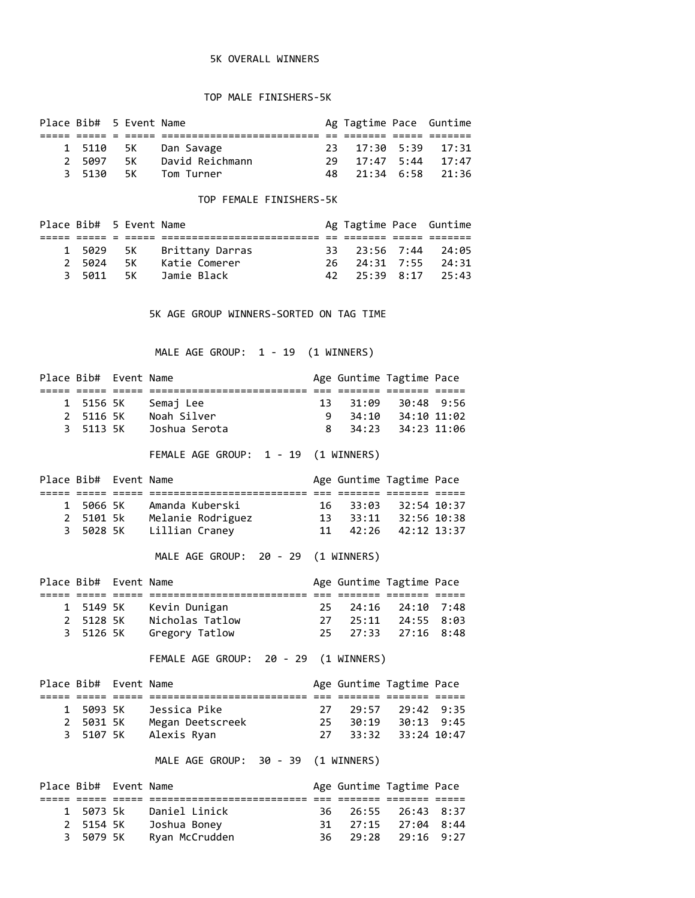## 5K OVERALL WINNERS

## TOP MALE FINISHERS-5K

| Place Bib# 5 Event Name |           |    |                      | Ag Tagtime Pace Guntime   |  |
|-------------------------|-----------|----|----------------------|---------------------------|--|
|                         |           |    |                      |                           |  |
|                         |           |    | 1 5110 5K Dan Savage | 23 17:30 5:39 17:31       |  |
|                         | 2 5097 5K |    | David Reichmann      | $29$ $17:47$ 5:44 $17:47$ |  |
|                         | 3 5130    | 5K | Tom Turner           | 48 21:34 6:58 21:36       |  |

## TOP FEMALE FINISHERS-5K

| Place Bib# 5 Event Name |           |  |                           |                     | Ag Tagtime Pace Guntime |
|-------------------------|-----------|--|---------------------------|---------------------|-------------------------|
|                         |           |  |                           |                     |                         |
|                         |           |  | 1 5029 5K Brittany Darras | 33 23:56 7:44 24:05 |                         |
|                         | 2 5024 5K |  | Katie Comerer             | 26 24:31 7:55 24:31 |                         |
|                         | 3 5011 5K |  | Jamie Black               | 42 25:39 8:17 25:43 |                         |

5K AGE GROUP WINNERS-SORTED ON TAG TIME

MALE AGE GROUP: 1 - 19 (1 WINNERS)

| 1<br>$\overline{2}$<br>3         | 5156 5K<br>5113 5K | Place Bib# Event Name<br>5116 5K | Semaj Lee<br>Noah Silver<br>Joshua Serota<br>FEMALE AGE GROUP: 1 - 19 (1 WINNERS) | 13<br>9<br>8 | 31:09<br>34:10<br>34:23 | Age Guntime Tagtime Pace<br>30:48 9:56<br>34:10 11:02<br>34:23 11:06 |      |
|----------------------------------|--------------------|----------------------------------|-----------------------------------------------------------------------------------|--------------|-------------------------|----------------------------------------------------------------------|------|
|                                  |                    | Place Bib# Event Name            |                                                                                   |              |                         | Age Guntime Tagtime Pace                                             |      |
| 1                                |                    |                                  | 5066 5K Amanda Kuberski                                                           | 16           | 33:03                   | 32:54 10:37                                                          |      |
| $\overline{2}$<br>$\overline{3}$ |                    |                                  | 5101 5k<br>Melanie Rodriguez<br>5028 5K    Lillian Craney                         | 13<br>11     | 42:26                   | 33:11 32:56 10:38<br>42:12 13:37                                     |      |
|                                  |                    |                                  | MALE AGE GROUP: 20 - 29 (1 WINNERS)                                               |              |                         |                                                                      |      |
|                                  |                    | Place Bib# Event Name            |                                                                                   |              |                         | Age Guntime Tagtime Pace                                             |      |
| 1                                |                    | 5149 5K                          | Kevin Dunigan                                                                     | 25           | 24:16                   | 24:10 7:48                                                           |      |
| $\overline{2}$                   |                    | 5128 5K                          | Nicholas Tatlow                                                                   | 27           | 25:11                   | 24:55 8:03                                                           |      |
| 3                                | 5126 5K            |                                  | Gregory Tatlow                                                                    | 25           | 27:33                   | $27:16$ 8:48                                                         |      |
|                                  |                    |                                  | FEMALE AGE GROUP: 20 - 29 (1 WINNERS)                                             |              |                         |                                                                      |      |
|                                  |                    | Place Bib# Event Name            |                                                                                   |              |                         | Age Guntime Tagtime Pace                                             |      |
|                                  |                    |                                  |                                                                                   |              |                         |                                                                      |      |
| 1                                |                    |                                  | 5093 5K     Jessica Pike                                                          | 27           | 29:57                   | 29:42 9:35                                                           |      |
| $\overline{2}$                   |                    |                                  | 5031 5K Megan Deetscreek                                                          | 25           | 30:19                   | 30:13 9:45                                                           |      |
| 3                                | 5107 5K            |                                  | Alexis Ryan                                                                       | 27           | 33:32                   | 33:24 10:47                                                          |      |
|                                  |                    |                                  | MALE AGE GROUP: 30 - 39 (1 WINNERS)                                               |              |                         |                                                                      |      |
|                                  |                    | Place Bib# Event Name            |                                                                                   |              |                         | Age Guntime Tagtime Pace                                             |      |
| 1                                | 5073 5k            |                                  | Daniel Linick                                                                     | 36           | 26:55                   | 26:43 8:37                                                           |      |
| $\overline{2}$                   | 5154 5K            |                                  | Joshua Boney                                                                      | 31           | 27:15                   | 27:04 8:44                                                           |      |
| 3                                | 5079 5K            |                                  | Ryan McCrudden                                                                    | 36           | 29:28                   | 29:16                                                                | 9:27 |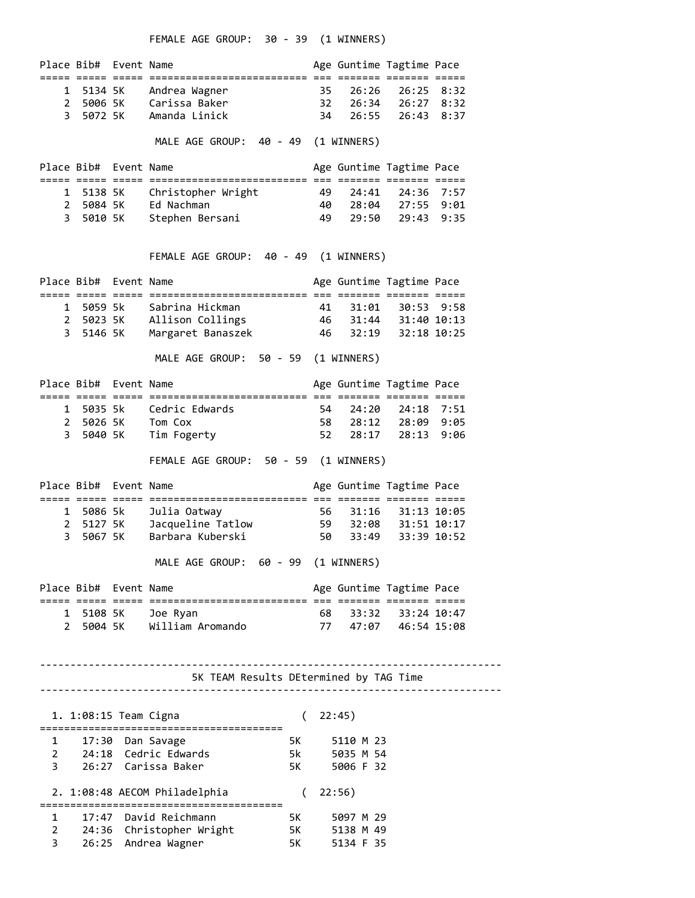FEMALE AGE GROUP: 30 - 39 (1 WINNERS)

|                                                                                  | Place Bib# Event Name |                    |                                                     |          |                 | Age Guntime Tagtime Pace      |                              |                    |  |
|----------------------------------------------------------------------------------|-----------------------|--------------------|-----------------------------------------------------|----------|-----------------|-------------------------------|------------------------------|--------------------|--|
| 1<br>3.                                                                          | 2 5006 5K<br>5072 5K  | 5134 5K            | Andrea Wagner<br>Carissa Baker<br>Amanda Linick     |          | 35<br>-32<br>34 | 26:26<br>26:34<br>26:55       | 26:25<br>26:27 8:32<br>26:43 | 8:32<br>8:37       |  |
|                                                                                  |                       |                    | MALE AGE GROUP: 40 - 49 (1 WINNERS)                 |          |                 |                               |                              |                    |  |
|                                                                                  | Place Bib# Event Name |                    |                                                     |          |                 | Age Guntime Tagtime Pace      |                              |                    |  |
| 1<br>3                                                                           | 2 5084 5K             | 5138 5K<br>5010 5K | Christopher Wright<br>Ed Nachman<br>Stephen Bersani |          | 49<br>40<br>49  | 24:41<br>28:04<br>29:50       | 24:36<br>27:55 9:01<br>29:43 | 7:57<br>9:35       |  |
|                                                                                  |                       |                    | FEMALE AGE GROUP: 40 - 49 (1 WINNERS)               |          |                 |                               |                              |                    |  |
|                                                                                  | Place Bib# Event Name |                    |                                                     |          |                 | Age Guntime Tagtime Pace      |                              |                    |  |
|                                                                                  | 1 5059 5k             |                    | Sabrina Hickman                                     |          | 41              | 31:01<br>46 31:44             | 30:53<br>31:40 10:13         | 9:58               |  |
|                                                                                  | 3 5146 5K             |                    | 2 5023 5K Allison Collings<br>Margaret Banaszek     |          | 46              | 32:19                         | 32:18 10:25                  |                    |  |
|                                                                                  |                       |                    | MALE AGE GROUP: 50 - 59 (1 WINNERS)                 |          |                 |                               |                              |                    |  |
|                                                                                  | Place Bib# Event Name |                    |                                                     |          |                 | Age Guntime Tagtime Pace      |                              |                    |  |
| 1                                                                                |                       | 5035 5k            | Cedric Edwards                                      |          | 54              | 24:20                         | 24:18 7:51                   |                    |  |
| 3.                                                                               | 5040 5K               |                    | 2 5026 5K Tom Cox<br>Tim Fogerty                    |          | 58<br>52        | 28:12<br>28:17                | 28:13                        | 28:09 9:05<br>9:06 |  |
|                                                                                  |                       |                    | FEMALE AGE GROUP: 50 - 59 (1 WINNERS)               |          |                 |                               |                              |                    |  |
|                                                                                  | Place Bib# Event Name |                    |                                                     |          |                 | Age Guntime Tagtime Pace      |                              |                    |  |
| 1                                                                                |                       | 5086 5k            | Julia Oatway                                        |          | 56              | 31:16                         | 31:13 10:05                  |                    |  |
| $\overline{2}$                                                                   |                       | 5127 5K            | Jacqueline Tatlow                                   |          | 59              | 32:08                         | 31:51 10:17                  |                    |  |
| 3.                                                                               | 5067 5K               |                    | Barbara Kuberski                                    |          | 50              | 33:49                         | 33:39 10:52                  |                    |  |
|                                                                                  |                       |                    | MALE AGE GROUP: 60 - 99 (1 WINNERS)                 |          |                 |                               |                              |                    |  |
|                                                                                  | Place Bib# Event Name |                    |                                                     |          |                 | Age Guntime Tagtime Pace      |                              |                    |  |
|                                                                                  |                       |                    | 1 5108 5K Joe Ryan<br>2 5004 5K William Aromando    |          | 68              | 33:32<br>77 47:07 46:54 15:08 | 33:24 10:47                  |                    |  |
| 5K TEAM Results DEtermined by TAG Time                                           |                       |                    |                                                     |          |                 |                               |                              |                    |  |
|                                                                                  |                       |                    |                                                     |          |                 |                               |                              |                    |  |
| 1. 1:08:15 Team Cigna<br>22:45)<br>$\left($<br>;================================ |                       |                    |                                                     |          |                 |                               |                              |                    |  |
| 1                                                                                |                       |                    | 17:30 Dan Savage                                    | 5K -     |                 | 5110 M 23                     |                              |                    |  |
| $\overline{2}$<br>3                                                              |                       |                    | 24:18 Cedric Edwards<br>26:27 Carissa Baker         | 5k<br>5K |                 | 5035 M 54<br>5006 F 32        |                              |                    |  |
|                                                                                  |                       |                    | 2. 1:08:48 AECOM Philadelphia                       | $\left($ |                 | 22:56)                        |                              |                    |  |
| 1                                                                                |                       |                    | 17:47 David Reichmann                               | 5K       |                 | 5097 M 29                     |                              |                    |  |
| 2<br>3                                                                           |                       |                    | 24:36 Christopher Wright<br>26:25 Andrea Wagner     | 5K<br>5K |                 | 5138 M 49<br>5134 F 35        |                              |                    |  |
|                                                                                  |                       |                    |                                                     |          |                 |                               |                              |                    |  |